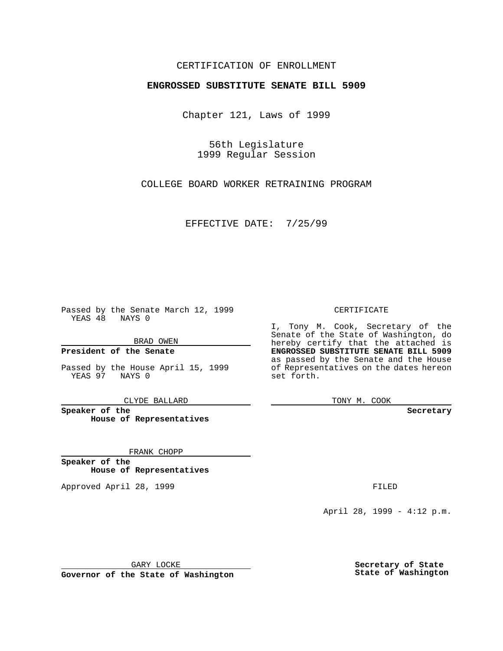### CERTIFICATION OF ENROLLMENT

# **ENGROSSED SUBSTITUTE SENATE BILL 5909**

Chapter 121, Laws of 1999

56th Legislature 1999 Regular Session

COLLEGE BOARD WORKER RETRAINING PROGRAM

EFFECTIVE DATE: 7/25/99

Passed by the Senate March 12, 1999 YEAS 48 NAYS 0

BRAD OWEN

**President of the Senate**

Passed by the House April 15, 1999 YEAS 97 NAYS 0

CLYDE BALLARD

**Speaker of the House of Representatives**

FRANK CHOPP

**Speaker of the House of Representatives**

Approved April 28, 1999 **FILED** 

### CERTIFICATE

I, Tony M. Cook, Secretary of the Senate of the State of Washington, do hereby certify that the attached is **ENGROSSED SUBSTITUTE SENATE BILL 5909** as passed by the Senate and the House of Representatives on the dates hereon set forth.

TONY M. COOK

#### **Secretary**

April 28, 1999 - 4:12 p.m.

GARY LOCKE

**Governor of the State of Washington**

**Secretary of State State of Washington**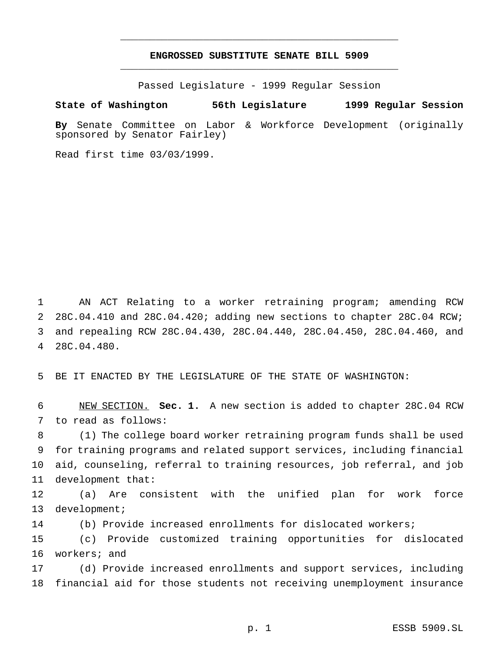## **ENGROSSED SUBSTITUTE SENATE BILL 5909** \_\_\_\_\_\_\_\_\_\_\_\_\_\_\_\_\_\_\_\_\_\_\_\_\_\_\_\_\_\_\_\_\_\_\_\_\_\_\_\_\_\_\_\_\_\_\_

\_\_\_\_\_\_\_\_\_\_\_\_\_\_\_\_\_\_\_\_\_\_\_\_\_\_\_\_\_\_\_\_\_\_\_\_\_\_\_\_\_\_\_\_\_\_\_

Passed Legislature - 1999 Regular Session

**State of Washington 56th Legislature 1999 Regular Session**

**By** Senate Committee on Labor & Workforce Development (originally sponsored by Senator Fairley)

Read first time 03/03/1999.

 AN ACT Relating to a worker retraining program; amending RCW 28C.04.410 and 28C.04.420; adding new sections to chapter 28C.04 RCW; and repealing RCW 28C.04.430, 28C.04.440, 28C.04.450, 28C.04.460, and 28C.04.480.

BE IT ENACTED BY THE LEGISLATURE OF THE STATE OF WASHINGTON:

 NEW SECTION. **Sec. 1.** A new section is added to chapter 28C.04 RCW to read as follows:

 (1) The college board worker retraining program funds shall be used for training programs and related support services, including financial aid, counseling, referral to training resources, job referral, and job development that:

 (a) Are consistent with the unified plan for work force development;

(b) Provide increased enrollments for dislocated workers;

 (c) Provide customized training opportunities for dislocated workers; and

 (d) Provide increased enrollments and support services, including financial aid for those students not receiving unemployment insurance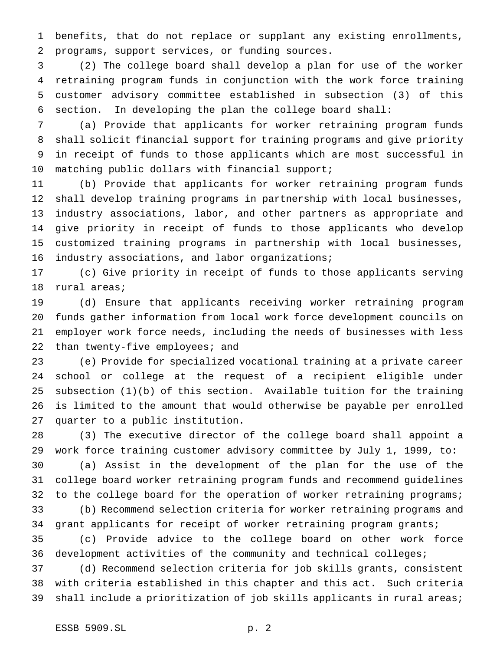benefits, that do not replace or supplant any existing enrollments, programs, support services, or funding sources.

 (2) The college board shall develop a plan for use of the worker retraining program funds in conjunction with the work force training customer advisory committee established in subsection (3) of this section. In developing the plan the college board shall:

 (a) Provide that applicants for worker retraining program funds shall solicit financial support for training programs and give priority in receipt of funds to those applicants which are most successful in matching public dollars with financial support;

 (b) Provide that applicants for worker retraining program funds shall develop training programs in partnership with local businesses, industry associations, labor, and other partners as appropriate and give priority in receipt of funds to those applicants who develop customized training programs in partnership with local businesses, 16 industry associations, and labor organizations;

 (c) Give priority in receipt of funds to those applicants serving rural areas;

 (d) Ensure that applicants receiving worker retraining program funds gather information from local work force development councils on employer work force needs, including the needs of businesses with less 22 than twenty-five employees; and

 (e) Provide for specialized vocational training at a private career school or college at the request of a recipient eligible under subsection (1)(b) of this section. Available tuition for the training is limited to the amount that would otherwise be payable per enrolled quarter to a public institution.

 (3) The executive director of the college board shall appoint a work force training customer advisory committee by July 1, 1999, to:

 (a) Assist in the development of the plan for the use of the college board worker retraining program funds and recommend guidelines 32 to the college board for the operation of worker retraining programs; (b) Recommend selection criteria for worker retraining programs and

34 grant applicants for receipt of worker retraining program grants;

 (c) Provide advice to the college board on other work force development activities of the community and technical colleges;

 (d) Recommend selection criteria for job skills grants, consistent with criteria established in this chapter and this act. Such criteria 39 shall include a prioritization of job skills applicants in rural areas;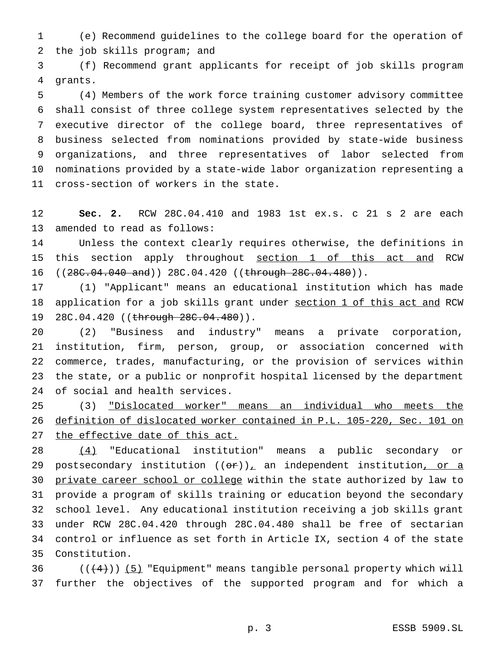(e) Recommend guidelines to the college board for the operation of the job skills program; and

 (f) Recommend grant applicants for receipt of job skills program grants.

 (4) Members of the work force training customer advisory committee shall consist of three college system representatives selected by the executive director of the college board, three representatives of business selected from nominations provided by state-wide business organizations, and three representatives of labor selected from nominations provided by a state-wide labor organization representing a cross-section of workers in the state.

 **Sec. 2.** RCW 28C.04.410 and 1983 1st ex.s. c 21 s 2 are each amended to read as follows:

 Unless the context clearly requires otherwise, the definitions in this section apply throughout section 1 of this act and RCW 16 ((28C.04.040 and)) 28C.04.420 ((through 28C.04.480)).

 (1) "Applicant" means an educational institution which has made 18 application for a job skills grant under section 1 of this act and RCW 19 28C.04.420 ((through 28C.04.480)).

 (2) "Business and industry" means a private corporation, institution, firm, person, group, or association concerned with commerce, trades, manufacturing, or the provision of services within the state, or a public or nonprofit hospital licensed by the department of social and health services.

 (3) "Dislocated worker" means an individual who meets the definition of dislocated worker contained in P.L. 105-220, Sec. 101 on the effective date of this act.

 (4) "Educational institution" means a public secondary or 29 postsecondary institution  $((\theta \cdot r))_+$  an independent institution, or a 30 private career school or college within the state authorized by law to provide a program of skills training or education beyond the secondary school level. Any educational institution receiving a job skills grant under RCW 28C.04.420 through 28C.04.480 shall be free of sectarian control or influence as set forth in Article IX, section 4 of the state Constitution.

36  $((+4))$  (5) "Equipment" means tangible personal property which will further the objectives of the supported program and for which a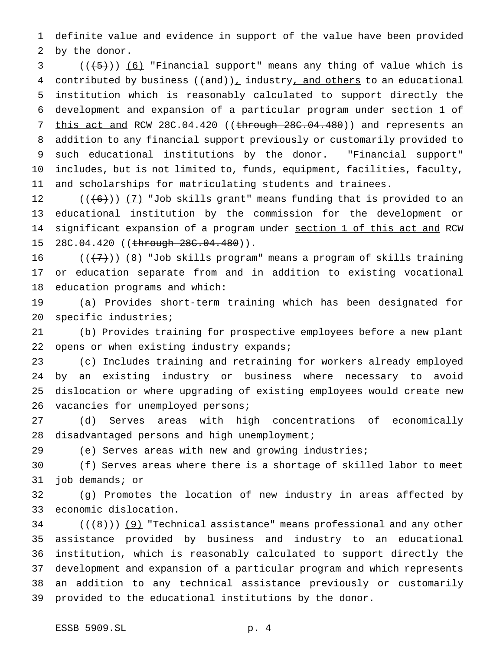definite value and evidence in support of the value have been provided by the donor.

 ( $(\overline{\smash{+5}})$ ) (6) "Financial support" means any thing of value which is 4 contributed by business  $((and))_+$  industry, and others to an educational institution which is reasonably calculated to support directly the development and expansion of a particular program under section 1 of 7 this act and RCW 28C.04.420 ((through 28C.04.480)) and represents an addition to any financial support previously or customarily provided to such educational institutions by the donor. "Financial support" includes, but is not limited to, funds, equipment, facilities, faculty, and scholarships for matriculating students and trainees.

12  $((+6))$   $(7)$  "Job skills grant" means funding that is provided to an educational institution by the commission for the development or 14 significant expansion of a program under section 1 of this act and RCW 15 28C.04.420 ((through 28C.04.480)).

16  $((+7))$   $(8)$  "Job skills program" means a program of skills training or education separate from and in addition to existing vocational education programs and which:

 (a) Provides short-term training which has been designated for specific industries;

 (b) Provides training for prospective employees before a new plant 22 opens or when existing industry expands;

 (c) Includes training and retraining for workers already employed by an existing industry or business where necessary to avoid dislocation or where upgrading of existing employees would create new 26 vacancies for unemployed persons;

 (d) Serves areas with high concentrations of economically disadvantaged persons and high unemployment;

(e) Serves areas with new and growing industries;

 (f) Serves areas where there is a shortage of skilled labor to meet job demands; or

 (g) Promotes the location of new industry in areas affected by economic dislocation.

 ( $(\frac{8}{1})$ )  $(9)$  "Technical assistance" means professional and any other assistance provided by business and industry to an educational institution, which is reasonably calculated to support directly the development and expansion of a particular program and which represents an addition to any technical assistance previously or customarily provided to the educational institutions by the donor.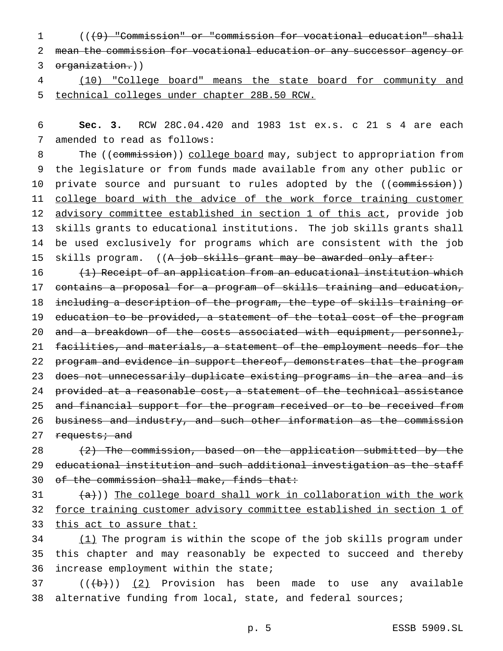$1$  ( $(49)$  "Commission" or "commission for vocational education" shall 2 mean the commission for vocational education or any successor agency or 3 organization.))

4 (10) "College board" means the state board for community and 5 technical colleges under chapter 28B.50 RCW.

6 **Sec. 3.** RCW 28C.04.420 and 1983 1st ex.s. c 21 s 4 are each 7 amended to read as follows:

8 The ((commission)) college board may, subject to appropriation from 9 the legislature or from funds made available from any other public or 10 private source and pursuant to rules adopted by the ((commission)) 11 college board with the advice of the work force training customer 12 advisory committee established in section 1 of this act, provide job 13 skills grants to educational institutions. The job skills grants shall 14 be used exclusively for programs which are consistent with the job 15 skills program. ((A job skills grant may be awarded only after:

16 (1) Receipt of an application from an educational institution which 17 contains a proposal for a program of skills training and education, 18 including a description of the program, the type of skills training or 19 education to be provided, a statement of the total cost of the program 20 and a breakdown of the costs associated with equipment, personnel, 21 facilities, and materials, a statement of the employment needs for the 22 program and evidence in support thereof, demonstrates that the program 23 does not unnecessarily duplicate existing programs in the area and is 24 provided at a reasonable cost, a statement of the technical assistance 25 and financial support for the program received or to be received from 26 business and industry, and such other information as the commission 27 requests; and

28 (2) The commission, based on the application submitted by the 29 educational institution and such additional investigation as the staff 30 of the commission shall make, finds that:

 $31$   $\{a\})$  The college board shall work in collaboration with the work 32 force training customer advisory committee established in section 1 of 33 this act to assure that:

34 (1) The program is within the scope of the job skills program under 35 this chapter and may reasonably be expected to succeed and thereby 36 increase employment within the state;

 $37$   $((\theta)$  (2) Provision has been made to use any available 38 alternative funding from local, state, and federal sources;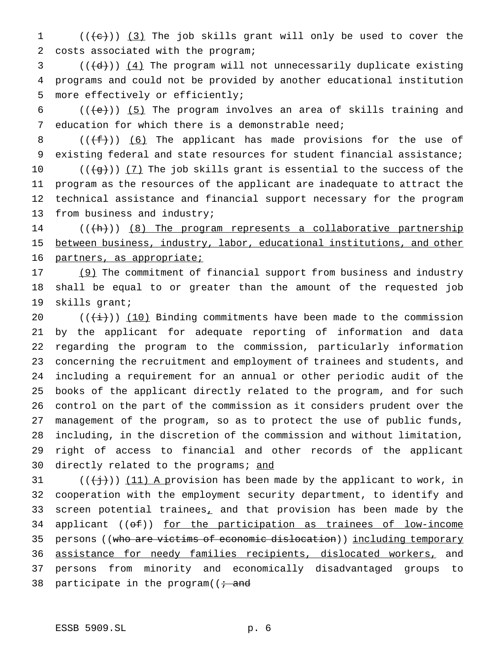1  $((+e))$   $(3)$  The job skills grant will only be used to cover the costs associated with the program;

 (( $\left(\frac{d}{d}\right)$ ) (4) The program will not unnecessarily duplicate existing programs and could not be provided by another educational institution more effectively or efficiently;

 $((\{e\})$  (5) The program involves an area of skills training and education for which there is a demonstrable need;

 $((\text{#}))$  (6) The applicant has made provisions for the use of existing federal and state resources for student financial assistance;  $((+g+))$   $(7)$  The job skills grant is essential to the success of the program as the resources of the applicant are inadequate to attract the technical assistance and financial support necessary for the program

from business and industry;

 (( $\{h\})$ ) (8) The program represents a collaborative partnership between business, industry, labor, educational institutions, and other partners, as appropriate;

17 (9) The commitment of financial support from business and industry shall be equal to or greater than the amount of the requested job skills grant;

 $((\overrightarrow{i}))$  (10) Binding commitments have been made to the commission by the applicant for adequate reporting of information and data regarding the program to the commission, particularly information concerning the recruitment and employment of trainees and students, and including a requirement for an annual or other periodic audit of the books of the applicant directly related to the program, and for such control on the part of the commission as it considers prudent over the management of the program, so as to protect the use of public funds, including, in the discretion of the commission and without limitation, right of access to financial and other records of the applicant 30 directly related to the programs; and

31 ( $(\frac{1}{1})$ ) (11) A provision has been made by the applicant to work, in cooperation with the employment security department, to identify and screen potential trainees, and that provision has been made by the 34 applicant (( $\theta$ f)) for the participation as trainees of low-income 35 persons ((who are victims of economic dislocation)) including temporary 36 assistance for needy families recipients, dislocated workers, and persons from minority and economically disadvantaged groups to 38 participate in the program( $\overline{t}$  and